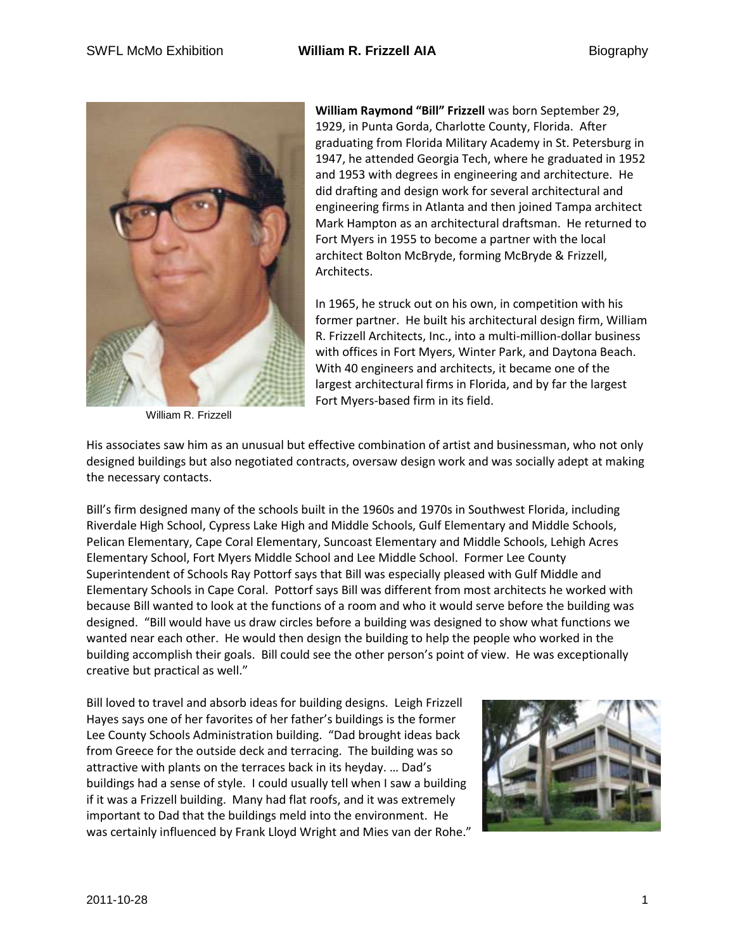

William R. Frizzell

**William Raymond "Bill" Frizzell** was born September 29, 1929, in Punta Gorda, Charlotte County, Florida. After graduating from Florida Military Academy in St. Petersburg in 1947, he attended Georgia Tech, where he graduated in 1952 and 1953 with degrees in engineering and architecture. He did drafting and design work for several architectural and engineering firms in Atlanta and then joined Tampa architect Mark Hampton as an architectural draftsman. He returned to Fort Myers in 1955 to become a partner with the local architect Bolton McBryde, forming McBryde & Frizzell, Architects.

In 1965, he struck out on his own, in competition with his former partner. He built his architectural design firm, William R. Frizzell Architects, Inc., into a multi-million-dollar business with offices in Fort Myers, Winter Park, and Daytona Beach. With 40 engineers and architects, it became one of the largest architectural firms in Florida, and by far the largest Fort Myers-based firm in its field.

His associates saw him as an unusual but effective combination of artist and businessman, who not only designed buildings but also negotiated contracts, oversaw design work and was socially adept at making the necessary contacts.

Bill's firm designed many of the schools built in the 1960s and 1970s in Southwest Florida, including Riverdale High School, Cypress Lake High and Middle Schools, Gulf Elementary and Middle Schools, Pelican Elementary, Cape Coral Elementary, Suncoast Elementary and Middle Schools, Lehigh Acres Elementary School, Fort Myers Middle School and Lee Middle School. Former Lee County Superintendent of Schools Ray Pottorf says that Bill was especially pleased with Gulf Middle and Elementary Schools in Cape Coral. Pottorf says Bill was different from most architects he worked with because Bill wanted to look at the functions of a room and who it would serve before the building was designed. "Bill would have us draw circles before a building was designed to show what functions we wanted near each other. He would then design the building to help the people who worked in the building accomplish their goals. Bill could see the other person's point of view. He was exceptionally creative but practical as well."

Bill loved to travel and absorb ideas for building designs. Leigh Frizzell Hayes says one of her favorites of her father's buildings is the former Lee County Schools Administration building. "Dad brought ideas back from Greece for the outside deck and terracing. The building was so attractive with plants on the terraces back in its heyday. … Dad's buildings had a sense of style. I could usually tell when I saw a building if it was a Frizzell building. Many had flat roofs, and it was extremely important to Dad that the buildings meld into the environment. He was certainly influenced by Frank Lloyd Wright and Mies van der Rohe."

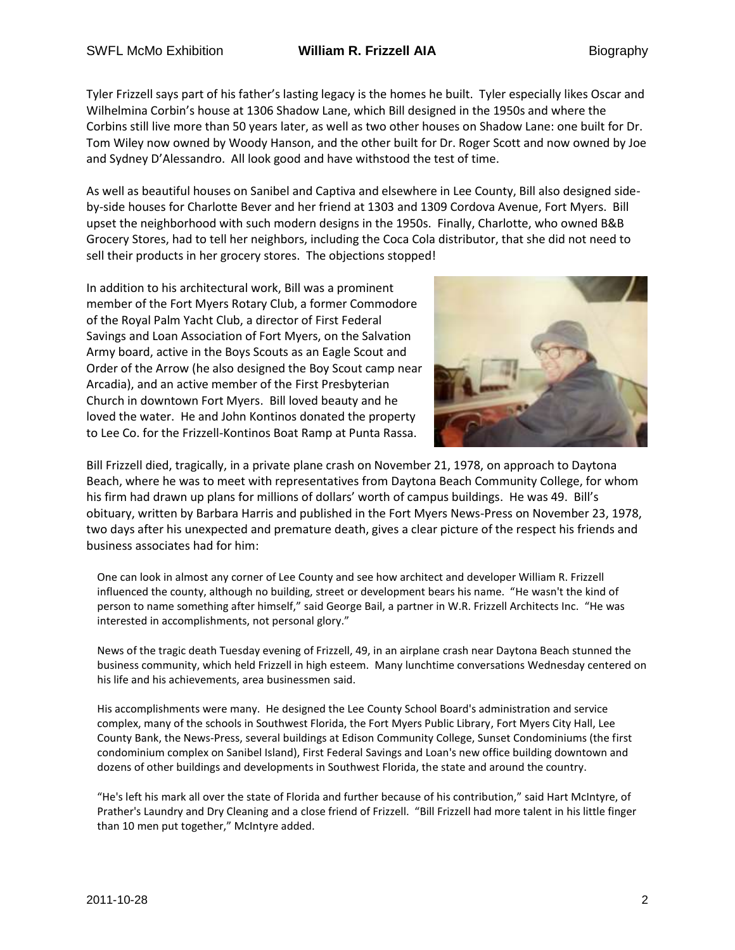# SWFL McMo Exhibition **William R. Frizzell AIA** Biography

Tyler Frizzell says part of his father's lasting legacy is the homes he built. Tyler especially likes Oscar and Wilhelmina Corbin's house at 1306 Shadow Lane, which Bill designed in the 1950s and where the Corbins still live more than 50 years later, as well as two other houses on Shadow Lane: one built for Dr. Tom Wiley now owned by Woody Hanson, and the other built for Dr. Roger Scott and now owned by Joe and Sydney D'Alessandro. All look good and have withstood the test of time.

As well as beautiful houses on Sanibel and Captiva and elsewhere in Lee County, Bill also designed sideby-side houses for Charlotte Bever and her friend at 1303 and 1309 Cordova Avenue, Fort Myers. Bill upset the neighborhood with such modern designs in the 1950s. Finally, Charlotte, who owned B&B Grocery Stores, had to tell her neighbors, including the Coca Cola distributor, that she did not need to sell their products in her grocery stores. The objections stopped!

In addition to his architectural work, Bill was a prominent member of the Fort Myers Rotary Club, a former Commodore of the Royal Palm Yacht Club, a director of First Federal Savings and Loan Association of Fort Myers, on the Salvation Army board, active in the Boys Scouts as an Eagle Scout and Order of the Arrow (he also designed the Boy Scout camp near Arcadia), and an active member of the First Presbyterian Church in downtown Fort Myers. Bill loved beauty and he loved the water. He and John Kontinos donated the property to Lee Co. for the Frizzell-Kontinos Boat Ramp at Punta Rassa.



Bill Frizzell died, tragically, in a private plane crash on November 21, 1978, on approach to Daytona Beach, where he was to meet with representatives from Daytona Beach Community College, for whom his firm had drawn up plans for millions of dollars' worth of campus buildings. He was 49. Bill's obituary, written by Barbara Harris and published in the Fort Myers News-Press on November 23, 1978, two days after his unexpected and premature death, gives a clear picture of the respect his friends and business associates had for him:

One can look in almost any corner of Lee County and see how architect and developer William R. Frizzell influenced the county, although no building, street or development bears his name. "He wasn't the kind of person to name something after himself," said George Bail, a partner in W.R. Frizzell Architects Inc. "He was interested in accomplishments, not personal glory."

News of the tragic death Tuesday evening of Frizzell, 49, in an airplane crash near Daytona Beach stunned the business community, which held Frizzell in high esteem. Many lunchtime conversations Wednesday centered on his life and his achievements, area businessmen said.

His accomplishments were many. He designed the Lee County School Board's administration and service complex, many of the schools in Southwest Florida, the Fort Myers Public Library, Fort Myers City Hall, Lee County Bank, the News-Press, several buildings at Edison Community College, Sunset Condominiums (the first condominium complex on Sanibel Island), First Federal Savings and Loan's new office building downtown and dozens of other buildings and developments in Southwest Florida, the state and around the country.

"He's left his mark all over the state of Florida and further because of his contribution," said Hart McIntyre, of Prather's Laundry and Dry Cleaning and a close friend of Frizzell. "Bill Frizzell had more talent in his little finger than 10 men put together," McIntyre added.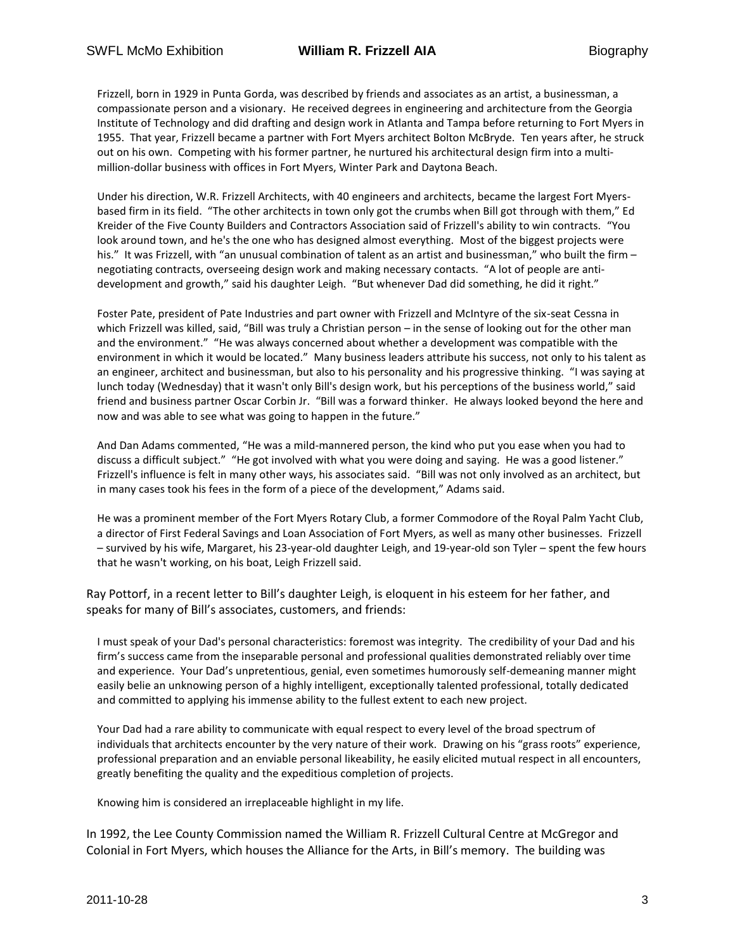Frizzell, born in 1929 in Punta Gorda, was described by friends and associates as an artist, a businessman, a compassionate person and a visionary. He received degrees in engineering and architecture from the Georgia Institute of Technology and did drafting and design work in Atlanta and Tampa before returning to Fort Myers in 1955. That year, Frizzell became a partner with Fort Myers architect Bolton McBryde. Ten years after, he struck out on his own. Competing with his former partner, he nurtured his architectural design firm into a multimillion-dollar business with offices in Fort Myers, Winter Park and Daytona Beach.

Under his direction, W.R. Frizzell Architects, with 40 engineers and architects, became the largest Fort Myersbased firm in its field. "The other architects in town only got the crumbs when Bill got through with them," Ed Kreider of the Five County Builders and Contractors Association said of Frizzell's ability to win contracts. "You look around town, and he's the one who has designed almost everything. Most of the biggest projects were his." It was Frizzell, with "an unusual combination of talent as an artist and businessman," who built the firm – negotiating contracts, overseeing design work and making necessary contacts. "A lot of people are antidevelopment and growth," said his daughter Leigh. "But whenever Dad did something, he did it right."

Foster Pate, president of Pate Industries and part owner with Frizzell and McIntyre of the six-seat Cessna in which Frizzell was killed, said, "Bill was truly a Christian person – in the sense of looking out for the other man and the environment." "He was always concerned about whether a development was compatible with the environment in which it would be located." Many business leaders attribute his success, not only to his talent as an engineer, architect and businessman, but also to his personality and his progressive thinking. "I was saying at lunch today (Wednesday) that it wasn't only Bill's design work, but his perceptions of the business world," said friend and business partner Oscar Corbin Jr. "Bill was a forward thinker. He always looked beyond the here and now and was able to see what was going to happen in the future."

And Dan Adams commented, "He was a mild-mannered person, the kind who put you ease when you had to discuss a difficult subject." "He got involved with what you were doing and saying. He was a good listener." Frizzell's influence is felt in many other ways, his associates said. "Bill was not only involved as an architect, but in many cases took his fees in the form of a piece of the development," Adams said.

He was a prominent member of the Fort Myers Rotary Club, a former Commodore of the Royal Palm Yacht Club, a director of First Federal Savings and Loan Association of Fort Myers, as well as many other businesses. Frizzell – survived by his wife, Margaret, his 23-year-old daughter Leigh, and 19-year-old son Tyler – spent the few hours that he wasn't working, on his boat, Leigh Frizzell said.

Ray Pottorf, in a recent letter to Bill's daughter Leigh, is eloquent in his esteem for her father, and speaks for many of Bill's associates, customers, and friends:

I must speak of your Dad's personal characteristics: foremost was integrity. The credibility of your Dad and his firm's success came from the inseparable personal and professional qualities demonstrated reliably over time and experience. Your Dad's unpretentious, genial, even sometimes humorously self-demeaning manner might easily belie an unknowing person of a highly intelligent, exceptionally talented professional, totally dedicated and committed to applying his immense ability to the fullest extent to each new project.

Your Dad had a rare ability to communicate with equal respect to every level of the broad spectrum of individuals that architects encounter by the very nature of their work. Drawing on his "grass roots" experience, professional preparation and an enviable personal likeability, he easily elicited mutual respect in all encounters, greatly benefiting the quality and the expeditious completion of projects.

Knowing him is considered an irreplaceable highlight in my life.

In 1992, the Lee County Commission named the William R. Frizzell Cultural Centre at McGregor and Colonial in Fort Myers, which houses the Alliance for the Arts, in Bill's memory. The building was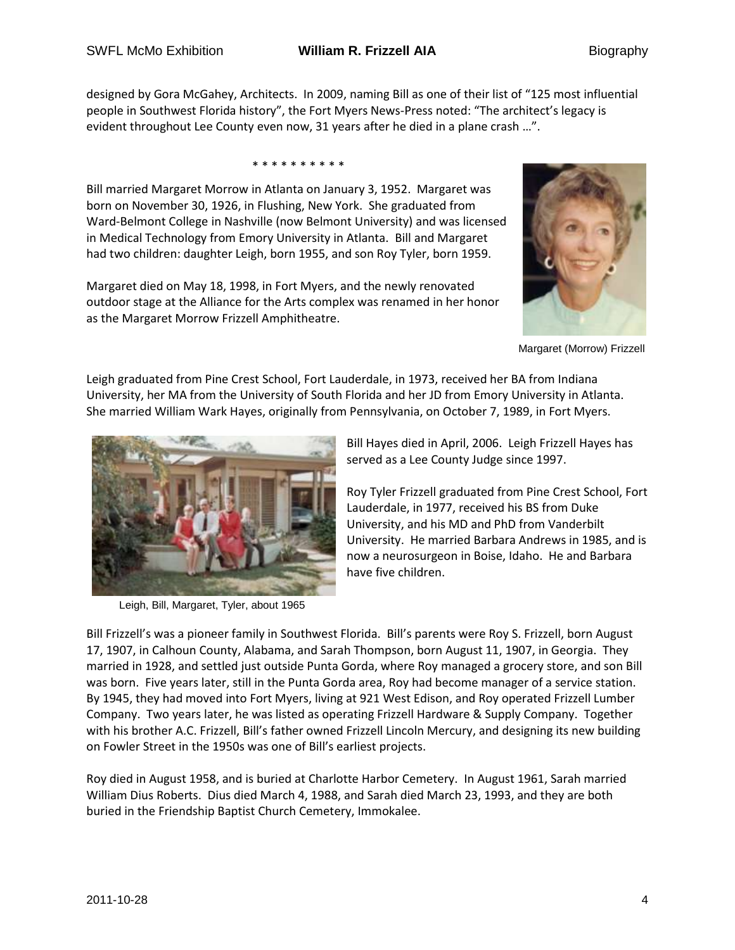designed by Gora McGahey, Architects. In 2009, naming Bill as one of their list of "125 most influential people in Southwest Florida history", the Fort Myers News-Press noted: "The architect's legacy is evident throughout Lee County even now, 31 years after he died in a plane crash …".

\* \* \* \* \* \* \* \* \* \*

Bill married Margaret Morrow in Atlanta on January 3, 1952. Margaret was born on November 30, 1926, in Flushing, New York. She graduated from Ward-Belmont College in Nashville (now Belmont University) and was licensed in Medical Technology from Emory University in Atlanta. Bill and Margaret had two children: daughter Leigh, born 1955, and son Roy Tyler, born 1959.

Margaret died on May 18, 1998, in Fort Myers, and the newly renovated outdoor stage at the Alliance for the Arts complex was renamed in her honor as the Margaret Morrow Frizzell Amphitheatre.



Margaret (Morrow) Frizzell

Leigh graduated from Pine Crest School, Fort Lauderdale, in 1973, received her BA from Indiana University, her MA from the University of South Florida and her JD from Emory University in Atlanta. She married William Wark Hayes, originally from Pennsylvania, on October 7, 1989, in Fort Myers.



Leigh, Bill, Margaret, Tyler, about 1965

Bill Hayes died in April, 2006. Leigh Frizzell Hayes has served as a Lee County Judge since 1997.

Roy Tyler Frizzell graduated from Pine Crest School, Fort Lauderdale, in 1977, received his BS from Duke University, and his MD and PhD from Vanderbilt University. He married Barbara Andrews in 1985, and is now a neurosurgeon in Boise, Idaho. He and Barbara have five children.

Bill Frizzell's was a pioneer family in Southwest Florida. Bill's parents were Roy S. Frizzell, born August 17, 1907, in Calhoun County, Alabama, and Sarah Thompson, born August 11, 1907, in Georgia. They married in 1928, and settled just outside Punta Gorda, where Roy managed a grocery store, and son Bill was born. Five years later, still in the Punta Gorda area, Roy had become manager of a service station. By 1945, they had moved into Fort Myers, living at 921 West Edison, and Roy operated Frizzell Lumber Company. Two years later, he was listed as operating Frizzell Hardware & Supply Company. Together with his brother A.C. Frizzell, Bill's father owned Frizzell Lincoln Mercury, and designing its new building on Fowler Street in the 1950s was one of Bill's earliest projects.

Roy died in August 1958, and is buried at Charlotte Harbor Cemetery. In August 1961, Sarah married William Dius Roberts. Dius died March 4, 1988, and Sarah died March 23, 1993, and they are both buried in the Friendship Baptist Church Cemetery, Immokalee.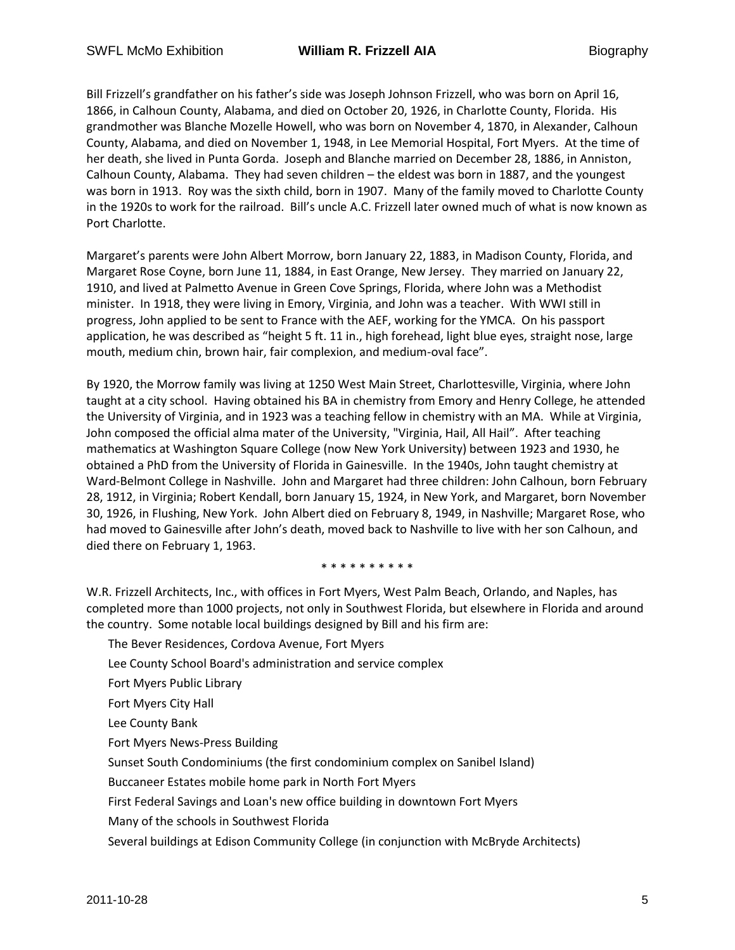Bill Frizzell's grandfather on his father's side was Joseph Johnson Frizzell, who was born on April 16, 1866, in Calhoun County, Alabama, and died on October 20, 1926, in Charlotte County, Florida. His grandmother was Blanche Mozelle Howell, who was born on November 4, 1870, in Alexander, Calhoun County, Alabama, and died on November 1, 1948, in Lee Memorial Hospital, Fort Myers. At the time of her death, she lived in Punta Gorda. Joseph and Blanche married on December 28, 1886, in Anniston, Calhoun County, Alabama. They had seven children – the eldest was born in 1887, and the youngest was born in 1913. Roy was the sixth child, born in 1907. Many of the family moved to Charlotte County in the 1920s to work for the railroad. Bill's uncle A.C. Frizzell later owned much of what is now known as Port Charlotte.

Margaret's parents were John Albert Morrow, born January 22, 1883, in Madison County, Florida, and Margaret Rose Coyne, born June 11, 1884, in East Orange, New Jersey. They married on January 22, 1910, and lived at Palmetto Avenue in Green Cove Springs, Florida, where John was a Methodist minister. In 1918, they were living in Emory, Virginia, and John was a teacher. With WWI still in progress, John applied to be sent to France with the AEF, working for the YMCA. On his passport application, he was described as "height 5 ft. 11 in., high forehead, light blue eyes, straight nose, large mouth, medium chin, brown hair, fair complexion, and medium-oval face".

By 1920, the Morrow family was living at 1250 West Main Street, Charlottesville, Virginia, where John taught at a city school. Having obtained his BA in chemistry from Emory and Henry College, he attended the University of Virginia, and in 1923 was a teaching fellow in chemistry with an MA. While at Virginia, John composed the official alma mater of the University, "Virginia, Hail, All Hail". After teaching mathematics at Washington Square College (now New York University) between 1923 and 1930, he obtained a PhD from the University of Florida in Gainesville. In the 1940s, John taught chemistry at Ward-Belmont College in Nashville. John and Margaret had three children: John Calhoun, born February 28, 1912, in Virginia; Robert Kendall, born January 15, 1924, in New York, and Margaret, born November 30, 1926, in Flushing, New York. John Albert died on February 8, 1949, in Nashville; Margaret Rose, who had moved to Gainesville after John's death, moved back to Nashville to live with her son Calhoun, and died there on February 1, 1963.

\* \* \* \* \* \* \* \* \*

W.R. Frizzell Architects, Inc., with offices in Fort Myers, West Palm Beach, Orlando, and Naples, has completed more than 1000 projects, not only in Southwest Florida, but elsewhere in Florida and around the country. Some notable local buildings designed by Bill and his firm are:

- The Bever Residences, Cordova Avenue, Fort Myers
- Lee County School Board's administration and service complex
- Fort Myers Public Library
- Fort Myers City Hall
- Lee County Bank
- Fort Myers News-Press Building
- Sunset South Condominiums (the first condominium complex on Sanibel Island)
- Buccaneer Estates mobile home park in North Fort Myers
- First Federal Savings and Loan's new office building in downtown Fort Myers
- Many of the schools in Southwest Florida
- Several buildings at Edison Community College (in conjunction with McBryde Architects)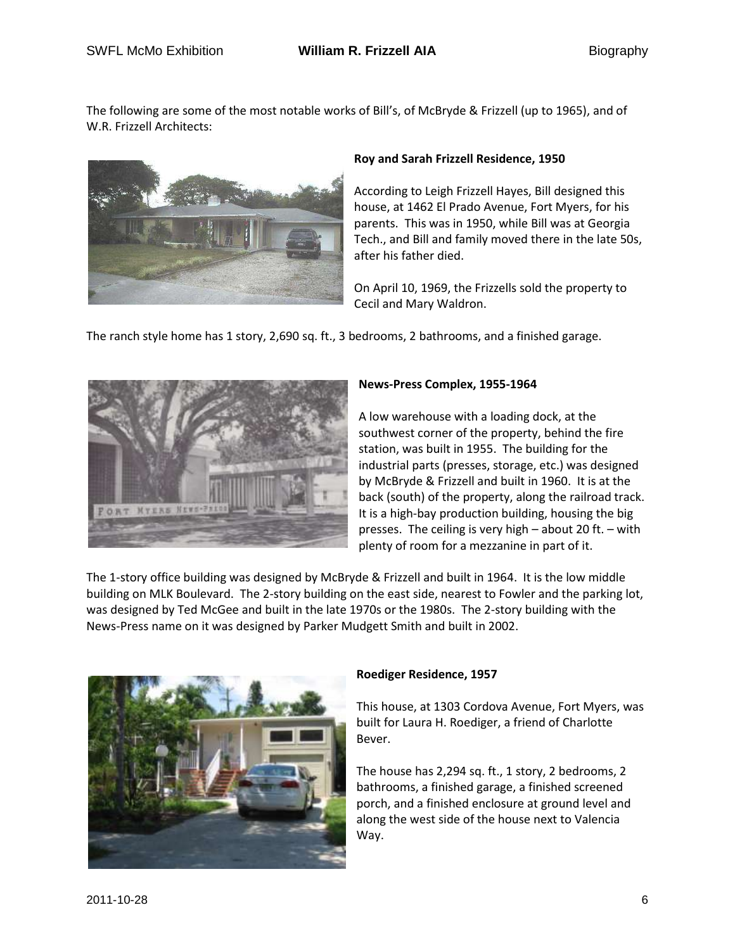The following are some of the most notable works of Bill's, of McBryde & Frizzell (up to 1965), and of W.R. Frizzell Architects:



## **Roy and Sarah Frizzell Residence, 1950**

According to Leigh Frizzell Hayes, Bill designed this house, at 1462 El Prado Avenue, Fort Myers, for his parents. This was in 1950, while Bill was at Georgia Tech., and Bill and family moved there in the late 50s, after his father died.

On April 10, 1969, the Frizzells sold the property to Cecil and Mary Waldron.

The ranch style home has 1 story, 2,690 sq. ft., 3 bedrooms, 2 bathrooms, and a finished garage.



### **News-Press Complex, 1955-1964**

A low warehouse with a loading dock, at the southwest corner of the property, behind the fire station, was built in 1955. The building for the industrial parts (presses, storage, etc.) was designed by McBryde & Frizzell and built in 1960. It is at the back (south) of the property, along the railroad track. It is a high-bay production building, housing the big presses. The ceiling is very high – about 20 ft. – with plenty of room for a mezzanine in part of it.

The 1-story office building was designed by McBryde & Frizzell and built in 1964. It is the low middle building on MLK Boulevard. The 2-story building on the east side, nearest to Fowler and the parking lot, was designed by Ted McGee and built in the late 1970s or the 1980s. The 2-story building with the News-Press name on it was designed by Parker Mudgett Smith and built in 2002.



# **Roediger Residence, 1957**

This house, at 1303 Cordova Avenue, Fort Myers, was built for Laura H. Roediger, a friend of Charlotte Bever.

The house has 2,294 sq. ft., 1 story, 2 bedrooms, 2 bathrooms, a finished garage, a finished screened porch, and a finished enclosure at ground level and along the west side of the house next to Valencia Way.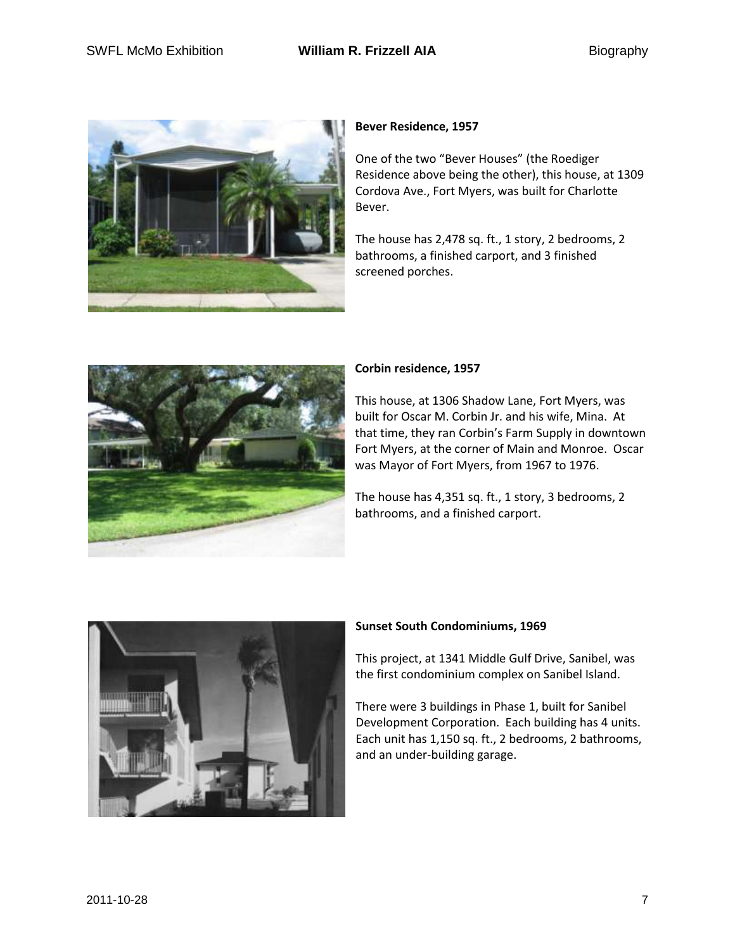

# **Bever Residence, 1957**

One of the two "Bever Houses" (the Roediger Residence above being the other), this house, at 1309 Cordova Ave., Fort Myers, was built for Charlotte Bever.

The house has 2,478 sq. ft., 1 story, 2 bedrooms, 2 bathrooms, a finished carport, and 3 finished screened porches.



### **Corbin residence, 1957**

This house, at 1306 Shadow Lane, Fort Myers, was built for Oscar M. Corbin Jr. and his wife, Mina. At that time, they ran Corbin's Farm Supply in downtown Fort Myers, at the corner of Main and Monroe. Oscar was Mayor of Fort Myers, from 1967 to 1976.

The house has 4,351 sq. ft., 1 story, 3 bedrooms, 2 bathrooms, and a finished carport.



#### **Sunset South Condominiums, 1969**

This project, at 1341 Middle Gulf Drive, Sanibel, was the first condominium complex on Sanibel Island.

There were 3 buildings in Phase 1, built for Sanibel Development Corporation. Each building has 4 units. Each unit has 1,150 sq. ft., 2 bedrooms, 2 bathrooms, and an under-building garage.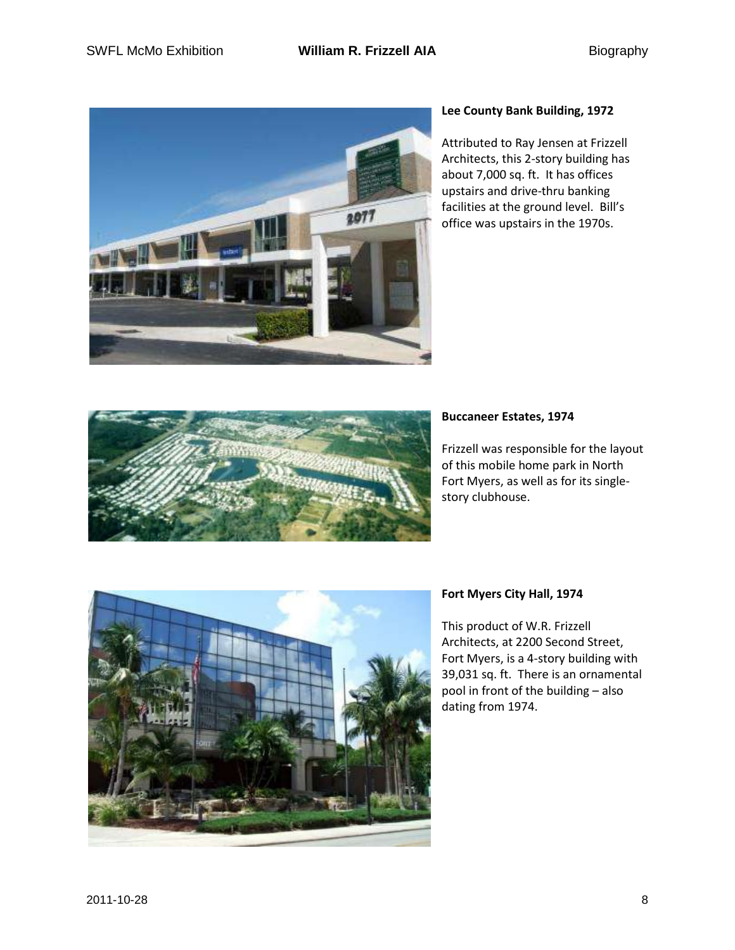

# **Lee County Bank Building, 1972**

Attributed to Ray Jensen at Frizzell Architects, this 2-story building has about 7,000 sq. ft. It has offices upstairs and drive-thru banking facilities at the ground level. Bill's office was upstairs in the 1970s.



# **Buccaneer Estates, 1974**

Frizzell was responsible for the layout of this mobile home park in North Fort Myers, as well as for its singlestory clubhouse.



# **Fort Myers City Hall, 1974**

This product of W.R. Frizzell Architects, at 2200 Second Street, Fort Myers, is a 4-story building with 39,031 sq. ft. There is an ornamental pool in front of the building – also dating from 1974.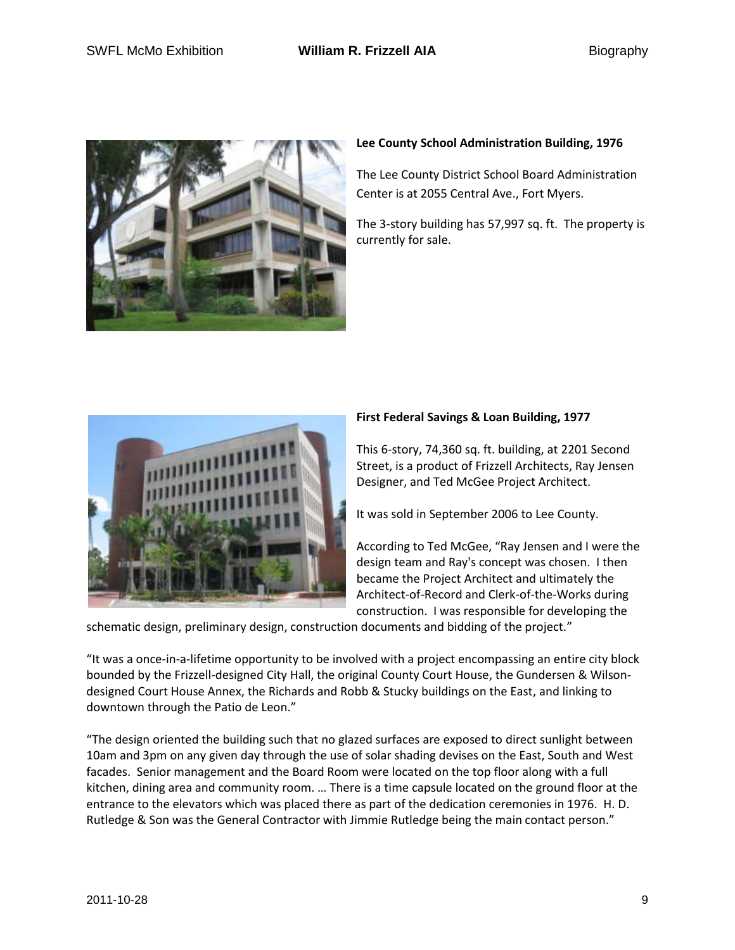

# **Lee County School Administration Building, 1976**

The Lee County District School Board Administration Center is at 2055 Central Ave., Fort Myers.

The 3-story building has 57,997 sq. ft. The property is currently for sale.



# **First Federal Savings & Loan Building, 1977**

This 6-story, 74,360 sq. ft. building, at 2201 Second Street, is a product of Frizzell Architects, Ray Jensen Designer, and Ted McGee Project Architect.

It was sold in September 2006 to Lee County.

According to Ted McGee, "Ray Jensen and I were the design team and Ray's concept was chosen. I then became the Project Architect and ultimately the Architect-of-Record and Clerk-of-the-Works during construction. I was responsible for developing the

schematic design, preliminary design, construction documents and bidding of the project."

"It was a once-in-a-lifetime opportunity to be involved with a project encompassing an entire city block bounded by the Frizzell-designed City Hall, the original County Court House, the Gundersen & Wilsondesigned Court House Annex, the Richards and Robb & Stucky buildings on the East, and linking to downtown through the Patio de Leon."

"The design oriented the building such that no glazed surfaces are exposed to direct sunlight between 10am and 3pm on any given day through the use of solar shading devises on the East, South and West facades. Senior management and the Board Room were located on the top floor along with a full kitchen, dining area and community room. … There is a time capsule located on the ground floor at the entrance to the elevators which was placed there as part of the dedication ceremonies in 1976. H. D. Rutledge & Son was the General Contractor with Jimmie Rutledge being the main contact person."